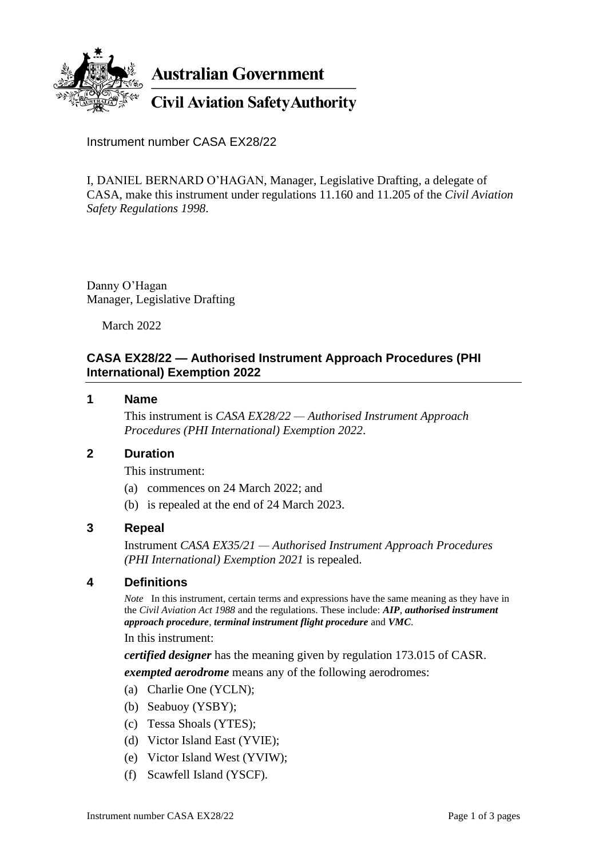

**Australian Government** 

**Civil Aviation Safety Authority** 

Instrument number CASA EX28/22

I, DANIEL BERNARD O'HAGAN, Manager, Legislative Drafting, a delegate of CASA, make this instrument under regulations 11.160 and 11.205 of the *Civil Aviation Safety Regulations 1998*.

Danny O'Hagan Manager, Legislative Drafting

March 2022

### **CASA EX28/22 — Authorised Instrument Approach Procedures (PHI International) Exemption 2022**

#### **1 Name**

This instrument is *CASA EX28/22 — Authorised Instrument Approach Procedures (PHI International) Exemption 2022*.

### **2 Duration**

This instrument:

- (a) commences on 24 March 2022; and
- (b) is repealed at the end of 24 March 2023.

#### **3 Repeal**

Instrument *CASA EX35/21 — Authorised Instrument Approach Procedures (PHI International) Exemption 2021* is repealed.

#### **4 Definitions**

*Note* In this instrument, certain terms and expressions have the same meaning as they have in the *Civil Aviation Act 1988* and the regulations. These include: *AIP*, *authorised instrument approach procedure*, *terminal instrument flight procedure* and *VMC*.

In this instrument:

*certified designer* has the meaning given by regulation 173.015 of CASR. *exempted aerodrome* means any of the following aerodromes:

- (a) Charlie One (YCLN);
- (b) Seabuoy (YSBY);
- (c) Tessa Shoals (YTES);
- (d) Victor Island East (YVIE);
- (e) Victor Island West (YVIW);
- (f) Scawfell Island (YSCF).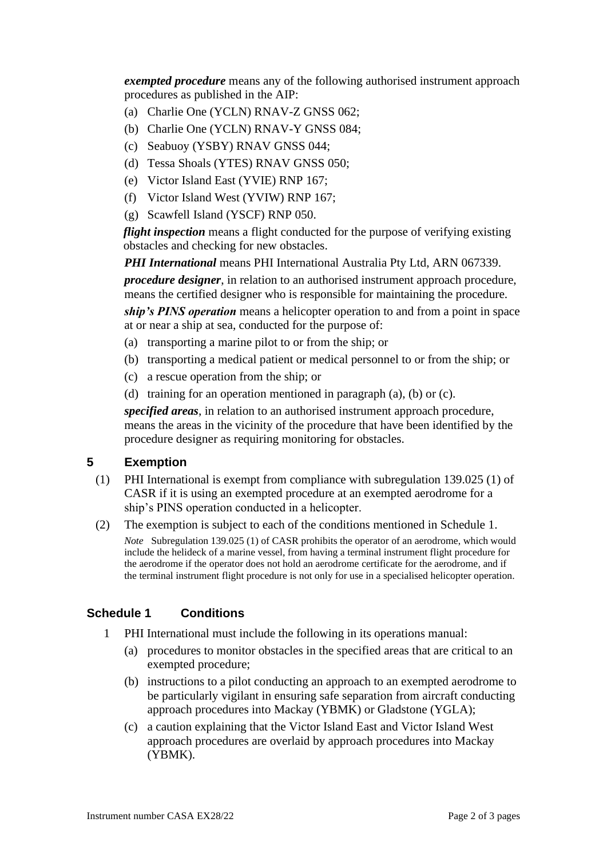*exempted procedure* means any of the following authorised instrument approach procedures as published in the AIP:

- (a) Charlie One (YCLN) RNAV-Z GNSS 062;
- (b) Charlie One (YCLN) RNAV-Y GNSS 084;
- (c) Seabuoy (YSBY) RNAV GNSS 044;
- (d) Tessa Shoals (YTES) RNAV GNSS 050;
- (e) Victor Island East (YVIE) RNP 167;
- (f) Victor Island West (YVIW) RNP 167;
- (g) Scawfell Island (YSCF) RNP 050.

*flight inspection* means a flight conducted for the purpose of verifying existing obstacles and checking for new obstacles.

*PHI International* means PHI International Australia Pty Ltd, ARN 067339.

*procedure designer*, in relation to an authorised instrument approach procedure, means the certified designer who is responsible for maintaining the procedure.

*ship's PINS operation* means a helicopter operation to and from a point in space at or near a ship at sea, conducted for the purpose of:

- (a) transporting a marine pilot to or from the ship; or
- (b) transporting a medical patient or medical personnel to or from the ship; or
- (c) a rescue operation from the ship; or
- (d) training for an operation mentioned in paragraph (a), (b) or (c).

*specified areas*, in relation to an authorised instrument approach procedure, means the areas in the vicinity of the procedure that have been identified by the procedure designer as requiring monitoring for obstacles.

# **5 Exemption**

- (1) PHI International is exempt from compliance with subregulation 139.025 (1) of CASR if it is using an exempted procedure at an exempted aerodrome for a ship's PINS operation conducted in a helicopter.
- (2) The exemption is subject to each of the conditions mentioned in Schedule 1. *Note* Subregulation 139.025 (1) of CASR prohibits the operator of an aerodrome, which would include the helideck of a marine vessel, from having a terminal instrument flight procedure for the aerodrome if the operator does not hold an aerodrome certificate for the aerodrome, and if the terminal instrument flight procedure is not only for use in a specialised helicopter operation.

# **Schedule 1 Conditions**

- 1 PHI International must include the following in its operations manual:
	- (a) procedures to monitor obstacles in the specified areas that are critical to an exempted procedure;
	- (b) instructions to a pilot conducting an approach to an exempted aerodrome to be particularly vigilant in ensuring safe separation from aircraft conducting approach procedures into Mackay (YBMK) or Gladstone (YGLA);
	- (c) a caution explaining that the Victor Island East and Victor Island West approach procedures are overlaid by approach procedures into Mackay (YBMK).